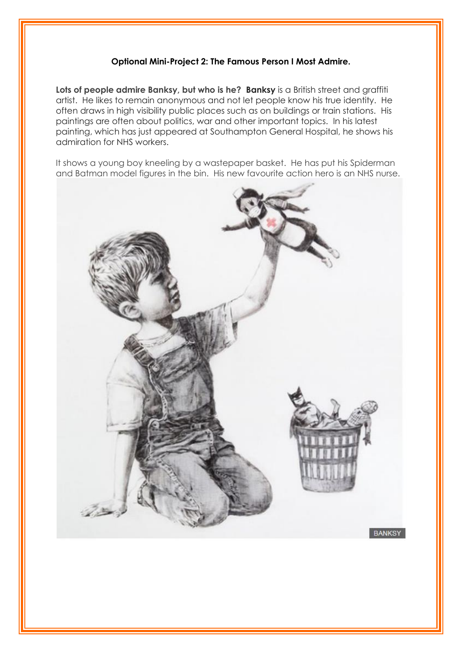## **Optional Mini-Project 2: The Famous Person I Most Admire.**

Lots of people admire Banksy, but who is he? Banksy is a British street and graffiti artist. He likes to remain anonymous and not let people know his true identity. He often draws in high visibility public places such as on buildings or train stations. His paintings are often about politics, war and other important topics. In his latest painting, which has just appeared at Southampton General Hospital, he shows his admiration for NHS workers.

It shows a young boy kneeling by a wastepaper basket. He has put his Spiderman and Batman model figures in the bin. His new favourite action hero is an NHS nurse.